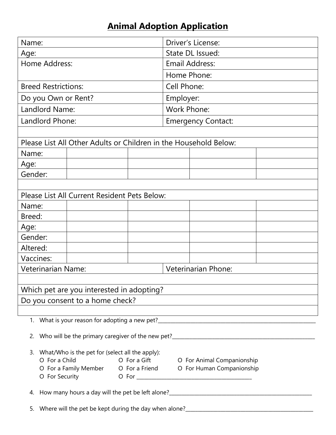## **Animal Adoption Application**

| Name:                                                                                                                 |                                                                                   |  | Driver's License:          |                                                                |  |  |  |
|-----------------------------------------------------------------------------------------------------------------------|-----------------------------------------------------------------------------------|--|----------------------------|----------------------------------------------------------------|--|--|--|
| Age:                                                                                                                  |                                                                                   |  | State DL Issued:           |                                                                |  |  |  |
| Home Address:                                                                                                         |                                                                                   |  | <b>Email Address:</b>      |                                                                |  |  |  |
|                                                                                                                       |                                                                                   |  | Home Phone:                |                                                                |  |  |  |
| <b>Breed Restrictions:</b>                                                                                            |                                                                                   |  | Cell Phone:                |                                                                |  |  |  |
| Do you Own or Rent?                                                                                                   |                                                                                   |  | Employer:                  |                                                                |  |  |  |
| Landlord Name:                                                                                                        |                                                                                   |  | <b>Work Phone:</b>         |                                                                |  |  |  |
| Landlord Phone:                                                                                                       |                                                                                   |  | <b>Emergency Contact:</b>  |                                                                |  |  |  |
|                                                                                                                       |                                                                                   |  |                            |                                                                |  |  |  |
| Please List All Other Adults or Children in the Household Below:                                                      |                                                                                   |  |                            |                                                                |  |  |  |
| Name:                                                                                                                 |                                                                                   |  |                            |                                                                |  |  |  |
| Age:                                                                                                                  |                                                                                   |  |                            |                                                                |  |  |  |
| Gender:                                                                                                               |                                                                                   |  |                            |                                                                |  |  |  |
|                                                                                                                       |                                                                                   |  |                            |                                                                |  |  |  |
| Please List All Current Resident Pets Below:                                                                          |                                                                                   |  |                            |                                                                |  |  |  |
| Name:                                                                                                                 |                                                                                   |  |                            |                                                                |  |  |  |
| Breed:                                                                                                                |                                                                                   |  |                            |                                                                |  |  |  |
| Age:                                                                                                                  |                                                                                   |  |                            |                                                                |  |  |  |
| Gender:                                                                                                               |                                                                                   |  |                            |                                                                |  |  |  |
| Altered:                                                                                                              |                                                                                   |  |                            |                                                                |  |  |  |
| Vaccines:                                                                                                             |                                                                                   |  |                            |                                                                |  |  |  |
| <b>Veterinarian Name:</b>                                                                                             |                                                                                   |  | <b>Veterinarian Phone:</b> |                                                                |  |  |  |
|                                                                                                                       |                                                                                   |  |                            |                                                                |  |  |  |
| Which pet are you interested in adopting?                                                                             |                                                                                   |  |                            |                                                                |  |  |  |
| Do you consent to a home check?                                                                                       |                                                                                   |  |                            |                                                                |  |  |  |
|                                                                                                                       |                                                                                   |  |                            |                                                                |  |  |  |
|                                                                                                                       |                                                                                   |  |                            |                                                                |  |  |  |
|                                                                                                                       |                                                                                   |  |                            |                                                                |  |  |  |
|                                                                                                                       |                                                                                   |  |                            |                                                                |  |  |  |
| 3. What/Who is the pet for (select all the apply):<br>O For a Child<br>O For a Gift <b>O</b> For Animal Companionship |                                                                                   |  |                            |                                                                |  |  |  |
|                                                                                                                       |                                                                                   |  |                            | O For a Family Member O For a Friend O For Human Companionship |  |  |  |
| O For Security                                                                                                        |                                                                                   |  |                            |                                                                |  |  |  |
|                                                                                                                       | 4. How many hours a day will the pet be left alone?______________________________ |  |                            |                                                                |  |  |  |
|                                                                                                                       |                                                                                   |  |                            |                                                                |  |  |  |